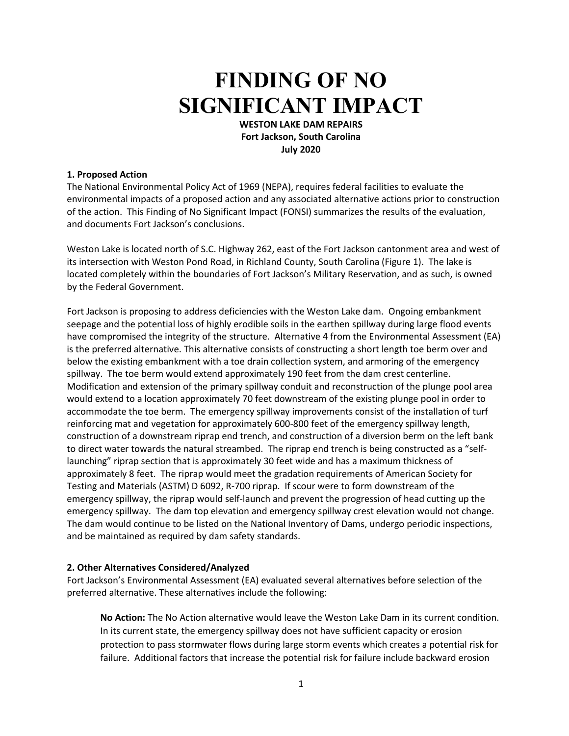# **FINDING OF NO SIGNIFICANT IMPACT**

**WESTON LAKE DAM REPAIRS Fort Jackson, South Carolina July 2020**

## **1. Proposed Action**

The National Environmental Policy Act of 1969 (NEPA), requires federal facilities to evaluate the environmental impacts of a proposed action and any associated alternative actions prior to construction of the action. This Finding of No Significant Impact (FONSI) summarizes the results of the evaluation, and documents Fort Jackson's conclusions.

Weston Lake is located north of S.C. Highway 262, east of the Fort Jackson cantonment area and west of its intersection with Weston Pond Road, in Richland County, South Carolina (Figure 1). The lake is located completely within the boundaries of Fort Jackson's Military Reservation, and as such, is owned by the Federal Government.

Fort Jackson is proposing to address deficiencies with the Weston Lake dam. Ongoing embankment seepage and the potential loss of highly erodible soils in the earthen spillway during large flood events have compromised the integrity of the structure. Alternative 4 from the Environmental Assessment (EA) is the preferred alternative. This alternative consists of constructing a short length toe berm over and below the existing embankment with a toe drain collection system, and armoring of the emergency spillway. The toe berm would extend approximately 190 feet from the dam crest centerline. Modification and extension of the primary spillway conduit and reconstruction of the plunge pool area would extend to a location approximately 70 feet downstream of the existing plunge pool in order to accommodate the toe berm. The emergency spillway improvements consist of the installation of turf reinforcing mat and vegetation for approximately 600-800 feet of the emergency spillway length, construction of a downstream riprap end trench, and construction of a diversion berm on the left bank to direct water towards the natural streambed. The riprap end trench is being constructed as a "selflaunching" riprap section that is approximately 30 feet wide and has a maximum thickness of approximately 8 feet. The riprap would meet the gradation requirements of American Society for Testing and Materials (ASTM) D 6092, R-700 riprap. If scour were to form downstream of the emergency spillway, the riprap would self-launch and prevent the progression of head cutting up the emergency spillway. The dam top elevation and emergency spillway crest elevation would not change. The dam would continue to be listed on the National Inventory of Dams, undergo periodic inspections, and be maintained as required by dam safety standards.

### **2. Other Alternatives Considered/Analyzed**

Fort Jackson's Environmental Assessment (EA) evaluated several alternatives before selection of the preferred alternative. These alternatives include the following:

**No Action:** The No Action alternative would leave the Weston Lake Dam in its current condition. In its current state, the emergency spillway does not have sufficient capacity or erosion protection to pass stormwater flows during large storm events which creates a potential risk for failure. Additional factors that increase the potential risk for failure include backward erosion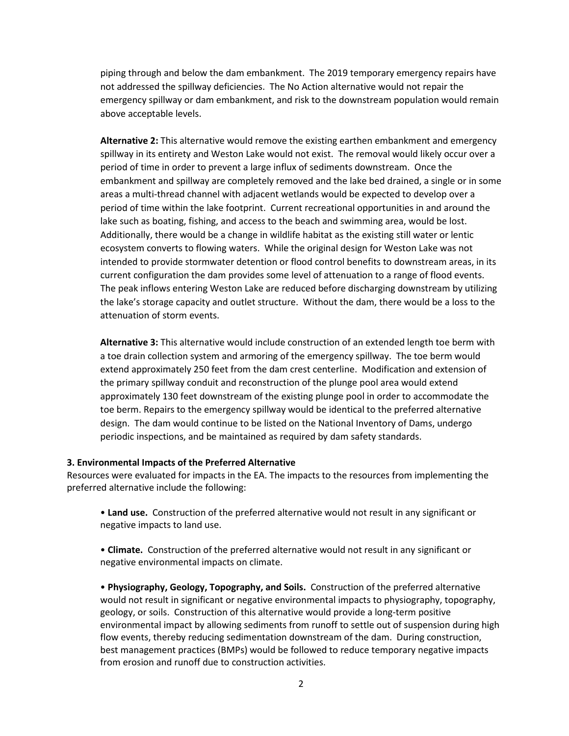piping through and below the dam embankment. The 2019 temporary emergency repairs have not addressed the spillway deficiencies. The No Action alternative would not repair the emergency spillway or dam embankment, and risk to the downstream population would remain above acceptable levels.

**Alternative 2:** This alternative would remove the existing earthen embankment and emergency spillway in its entirety and Weston Lake would not exist. The removal would likely occur over a period of time in order to prevent a large influx of sediments downstream. Once the embankment and spillway are completely removed and the lake bed drained, a single or in some areas a multi-thread channel with adjacent wetlands would be expected to develop over a period of time within the lake footprint. Current recreational opportunities in and around the lake such as boating, fishing, and access to the beach and swimming area, would be lost. Additionally, there would be a change in wildlife habitat as the existing still water or lentic ecosystem converts to flowing waters. While the original design for Weston Lake was not intended to provide stormwater detention or flood control benefits to downstream areas, in its current configuration the dam provides some level of attenuation to a range of flood events. The peak inflows entering Weston Lake are reduced before discharging downstream by utilizing the lake's storage capacity and outlet structure. Without the dam, there would be a loss to the attenuation of storm events.

**Alternative 3:** This alternative would include construction of an extended length toe berm with a toe drain collection system and armoring of the emergency spillway. The toe berm would extend approximately 250 feet from the dam crest centerline. Modification and extension of the primary spillway conduit and reconstruction of the plunge pool area would extend approximately 130 feet downstream of the existing plunge pool in order to accommodate the toe berm. Repairs to the emergency spillway would be identical to the preferred alternative design. The dam would continue to be listed on the National Inventory of Dams, undergo periodic inspections, and be maintained as required by dam safety standards.

#### **3. Environmental Impacts of the Preferred Alternative**

Resources were evaluated for impacts in the EA. The impacts to the resources from implementing the preferred alternative include the following:

• **Land use.** Construction of the preferred alternative would not result in any significant or negative impacts to land use.

• **Climate.** Construction of the preferred alternative would not result in any significant or negative environmental impacts on climate.

• **Physiography, Geology, Topography, and Soils.** Construction of the preferred alternative would not result in significant or negative environmental impacts to physiography, topography, geology, or soils. Construction of this alternative would provide a long-term positive environmental impact by allowing sediments from runoff to settle out of suspension during high flow events, thereby reducing sedimentation downstream of the dam. During construction, best management practices (BMPs) would be followed to reduce temporary negative impacts from erosion and runoff due to construction activities.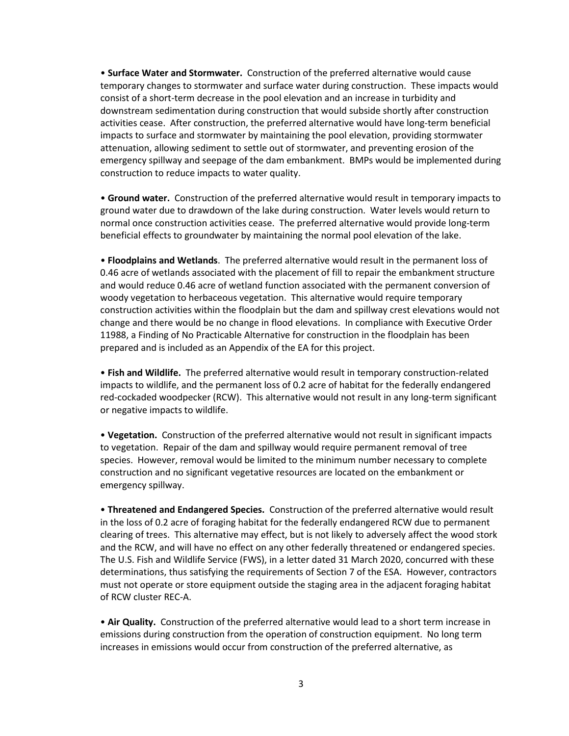• **Surface Water and Stormwater.** Construction of the preferred alternative would cause temporary changes to stormwater and surface water during construction. These impacts would consist of a short-term decrease in the pool elevation and an increase in turbidity and downstream sedimentation during construction that would subside shortly after construction activities cease. After construction, the preferred alternative would have long-term beneficial impacts to surface and stormwater by maintaining the pool elevation, providing stormwater attenuation, allowing sediment to settle out of stormwater, and preventing erosion of the emergency spillway and seepage of the dam embankment. BMPs would be implemented during construction to reduce impacts to water quality.

• **Ground water.** Construction of the preferred alternative would result in temporary impacts to ground water due to drawdown of the lake during construction. Water levels would return to normal once construction activities cease. The preferred alternative would provide long-term beneficial effects to groundwater by maintaining the normal pool elevation of the lake.

• **Floodplains and Wetlands**. The preferred alternative would result in the permanent loss of 0.46 acre of wetlands associated with the placement of fill to repair the embankment structure and would reduce 0.46 acre of wetland function associated with the permanent conversion of woody vegetation to herbaceous vegetation. This alternative would require temporary construction activities within the floodplain but the dam and spillway crest elevations would not change and there would be no change in flood elevations. In compliance with Executive Order 11988, a Finding of No Practicable Alternative for construction in the floodplain has been prepared and is included as an Appendix of the EA for this project.

• **Fish and Wildlife.** The preferred alternative would result in temporary construction-related impacts to wildlife, and the permanent loss of 0.2 acre of habitat for the federally endangered red-cockaded woodpecker (RCW). This alternative would not result in any long-term significant or negative impacts to wildlife.

• **Vegetation.** Construction of the preferred alternative would not result in significant impacts to vegetation. Repair of the dam and spillway would require permanent removal of tree species. However, removal would be limited to the minimum number necessary to complete construction and no significant vegetative resources are located on the embankment or emergency spillway.

• **Threatened and Endangered Species.** Construction of the preferred alternative would result in the loss of 0.2 acre of foraging habitat for the federally endangered RCW due to permanent clearing of trees. This alternative may effect, but is not likely to adversely affect the wood stork and the RCW, and will have no effect on any other federally threatened or endangered species. The U.S. Fish and Wildlife Service (FWS), in a letter dated 31 March 2020, concurred with these determinations, thus satisfying the requirements of Section 7 of the ESA. However, contractors must not operate or store equipment outside the staging area in the adjacent foraging habitat of RCW cluster REC-A.

• **Air Quality.** Construction of the preferred alternative would lead to a short term increase in emissions during construction from the operation of construction equipment. No long term increases in emissions would occur from construction of the preferred alternative, as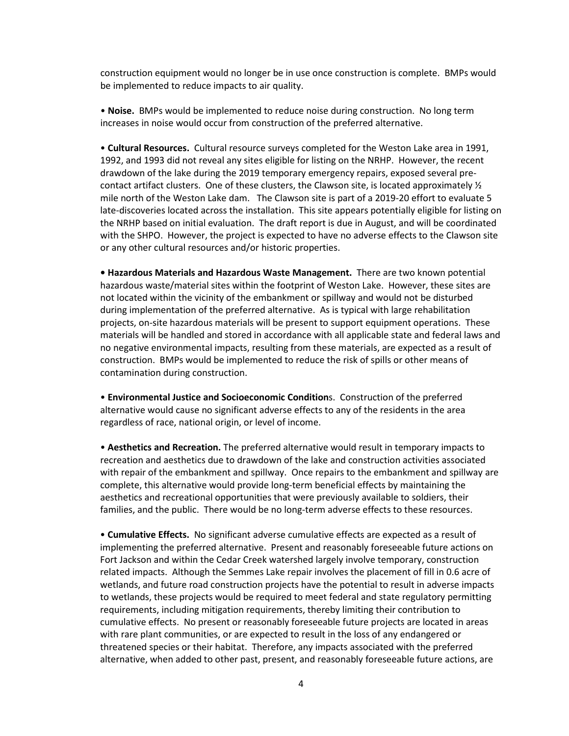construction equipment would no longer be in use once construction is complete. BMPs would be implemented to reduce impacts to air quality.

• **Noise.** BMPs would be implemented to reduce noise during construction. No long term increases in noise would occur from construction of the preferred alternative.

• **Cultural Resources.** Cultural resource surveys completed for the Weston Lake area in 1991, 1992, and 1993 did not reveal any sites eligible for listing on the NRHP. However, the recent drawdown of the lake during the 2019 temporary emergency repairs, exposed several precontact artifact clusters. One of these clusters, the Clawson site, is located approximately  $\frac{1}{2}$ mile north of the Weston Lake dam. The Clawson site is part of a 2019-20 effort to evaluate 5 late-discoveries located across the installation. This site appears potentially eligible for listing on the NRHP based on initial evaluation. The draft report is due in August, and will be coordinated with the SHPO. However, the project is expected to have no adverse effects to the Clawson site or any other cultural resources and/or historic properties.

**• Hazardous Materials and Hazardous Waste Management.** There are two known potential hazardous waste/material sites within the footprint of Weston Lake. However, these sites are not located within the vicinity of the embankment or spillway and would not be disturbed during implementation of the preferred alternative. As is typical with large rehabilitation projects, on-site hazardous materials will be present to support equipment operations. These materials will be handled and stored in accordance with all applicable state and federal laws and no negative environmental impacts, resulting from these materials, are expected as a result of construction. BMPs would be implemented to reduce the risk of spills or other means of contamination during construction.

• **Environmental Justice and Socioeconomic Condition**s. Construction of the preferred alternative would cause no significant adverse effects to any of the residents in the area regardless of race, national origin, or level of income.

• **Aesthetics and Recreation.** The preferred alternative would result in temporary impacts to recreation and aesthetics due to drawdown of the lake and construction activities associated with repair of the embankment and spillway. Once repairs to the embankment and spillway are complete, this alternative would provide long-term beneficial effects by maintaining the aesthetics and recreational opportunities that were previously available to soldiers, their families, and the public. There would be no long-term adverse effects to these resources.

• **Cumulative Effects.** No significant adverse cumulative effects are expected as a result of implementing the preferred alternative. Present and reasonably foreseeable future actions on Fort Jackson and within the Cedar Creek watershed largely involve temporary, construction related impacts. Although the Semmes Lake repair involves the placement of fill in 0.6 acre of wetlands, and future road construction projects have the potential to result in adverse impacts to wetlands, these projects would be required to meet federal and state regulatory permitting requirements, including mitigation requirements, thereby limiting their contribution to cumulative effects. No present or reasonably foreseeable future projects are located in areas with rare plant communities, or are expected to result in the loss of any endangered or threatened species or their habitat. Therefore, any impacts associated with the preferred alternative, when added to other past, present, and reasonably foreseeable future actions, are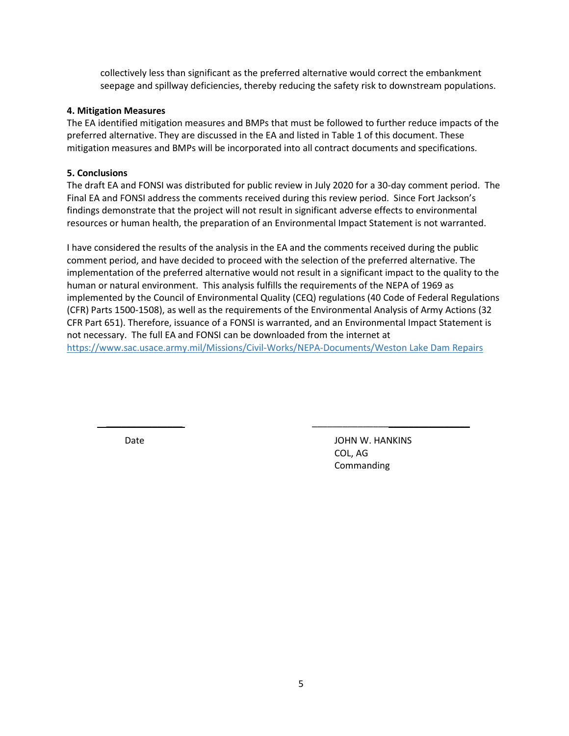collectively less than significant as the preferred alternative would correct the embankment seepage and spillway deficiencies, thereby reducing the safety risk to downstream populations.

# **4. Mitigation Measures**

The EA identified mitigation measures and BMPs that must be followed to further reduce impacts of the preferred alternative. They are discussed in the EA and listed in Table 1 of this document. These mitigation measures and BMPs will be incorporated into all contract documents and specifications.

# **5. Conclusions**

The draft EA and FONSI was distributed for public review in July 2020 for a 30-day comment period. The Final EA and FONSI address the comments received during this review period. Since Fort Jackson's findings demonstrate that the project will not result in significant adverse effects to environmental resources or human health, the preparation of an Environmental Impact Statement is not warranted.

I have considered the results of the analysis in the EA and the comments received during the public comment period, and have decided to proceed with the selection of the preferred alternative. The implementation of the preferred alternative would not result in a significant impact to the quality to the human or natural environment. This analysis fulfills the requirements of the NEPA of 1969 as implemented by the Council of Environmental Quality (CEQ) regulations (40 Code of Federal Regulations (CFR) Parts 1500-1508), as well as the requirements of the Environmental Analysis of Army Actions (32 CFR Part 651). Therefore, issuance of a FONSI is warranted, and an Environmental Impact Statement is not necessary. The full EA and FONSI can be downloaded from the internet at <https://www.sac.usace.army.mil/Missions/Civil-Works/NEPA-Documents/Weston> Lake Dam Repairs

 $\overline{\phantom{a}}$  ,  $\overline{\phantom{a}}$  ,  $\overline{\phantom{a}}$  ,  $\overline{\phantom{a}}$  ,  $\overline{\phantom{a}}$  ,  $\overline{\phantom{a}}$  ,  $\overline{\phantom{a}}$  ,  $\overline{\phantom{a}}$  ,  $\overline{\phantom{a}}$  ,  $\overline{\phantom{a}}$  ,  $\overline{\phantom{a}}$  ,  $\overline{\phantom{a}}$  ,  $\overline{\phantom{a}}$  ,  $\overline{\phantom{a}}$  ,  $\overline{\phantom{a}}$  ,  $\overline{\phantom{a}}$ 

Date **Date** JOHN W. HANKINS COL, AG Commanding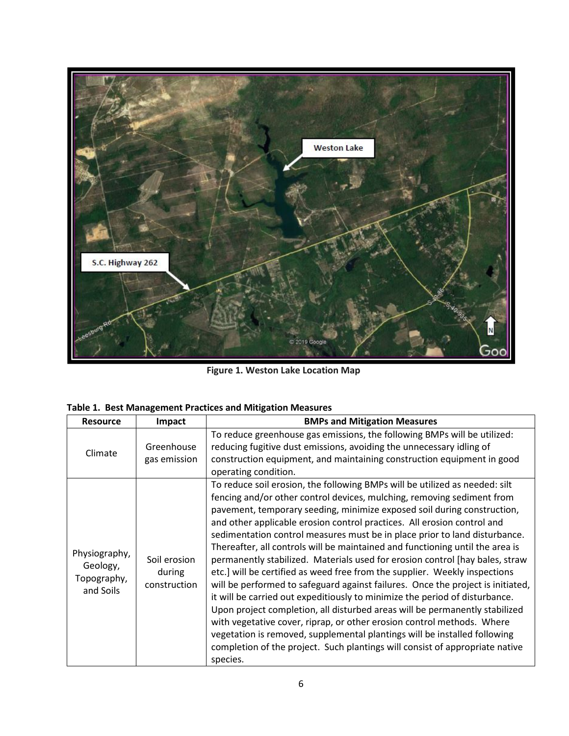

 **Figure 1. Weston Lake Location Map**

| <b>Resource</b>                                       | Impact                                 | <b>BMPs and Mitigation Measures</b>                                                                                                                                                                                                                                                                                                                                                                                                                                                                                                                                                                                                                                                                                                                                                                                                                                                                                                                                                                                                                                                                                                          |  |
|-------------------------------------------------------|----------------------------------------|----------------------------------------------------------------------------------------------------------------------------------------------------------------------------------------------------------------------------------------------------------------------------------------------------------------------------------------------------------------------------------------------------------------------------------------------------------------------------------------------------------------------------------------------------------------------------------------------------------------------------------------------------------------------------------------------------------------------------------------------------------------------------------------------------------------------------------------------------------------------------------------------------------------------------------------------------------------------------------------------------------------------------------------------------------------------------------------------------------------------------------------------|--|
| Climate                                               | Greenhouse<br>gas emission             | To reduce greenhouse gas emissions, the following BMPs will be utilized:<br>reducing fugitive dust emissions, avoiding the unnecessary idling of<br>construction equipment, and maintaining construction equipment in good<br>operating condition.                                                                                                                                                                                                                                                                                                                                                                                                                                                                                                                                                                                                                                                                                                                                                                                                                                                                                           |  |
| Physiography,<br>Geology,<br>Topography,<br>and Soils | Soil erosion<br>during<br>construction | To reduce soil erosion, the following BMPs will be utilized as needed: silt<br>fencing and/or other control devices, mulching, removing sediment from<br>pavement, temporary seeding, minimize exposed soil during construction,<br>and other applicable erosion control practices. All erosion control and<br>sedimentation control measures must be in place prior to land disturbance.<br>Thereafter, all controls will be maintained and functioning until the area is<br>permanently stabilized. Materials used for erosion control [hay bales, straw<br>etc.] will be certified as weed free from the supplier. Weekly inspections<br>will be performed to safeguard against failures. Once the project is initiated,<br>it will be carried out expeditiously to minimize the period of disturbance.<br>Upon project completion, all disturbed areas will be permanently stabilized<br>with vegetative cover, riprap, or other erosion control methods. Where<br>vegetation is removed, supplemental plantings will be installed following<br>completion of the project. Such plantings will consist of appropriate native<br>species. |  |

|  | Table 1. Best Management Practices and Mitigation Measures |  |  |  |
|--|------------------------------------------------------------|--|--|--|
|--|------------------------------------------------------------|--|--|--|